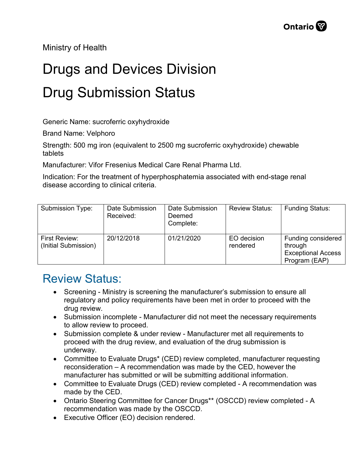Ministry of Health

## Drugs and Devices Division Drug Submission Status

Generic Name: sucroferric oxyhydroxide

Brand Name: Velphoro

Strength: 500 mg iron (equivalent to 2500 mg sucroferric oxyhydroxide) chewable tablets

Manufacturer: Vifor Fresenius Medical Care Renal Pharma Ltd.

Indication: For the treatment of hyperphosphatemia associated with end-stage renal disease according to clinical criteria.

| Submission Type:                      | Date Submission<br>Received: | Date Submission<br>Deemed<br>Complete: | <b>Review Status:</b>   | <b>Funding Status:</b>                                                      |
|---------------------------------------|------------------------------|----------------------------------------|-------------------------|-----------------------------------------------------------------------------|
| First Review:<br>(Initial Submission) | 20/12/2018                   | 01/21/2020                             | EO decision<br>rendered | Funding considered<br>through<br><b>Exceptional Access</b><br>Program (EAP) |

## Review Status:

- Screening Ministry is screening the manufacturer's submission to ensure all regulatory and policy requirements have been met in order to proceed with the drug review.
- Submission incomplete Manufacturer did not meet the necessary requirements to allow review to proceed.
- Submission complete & under review Manufacturer met all requirements to proceed with the drug review, and evaluation of the drug submission is underway.
- Committee to Evaluate Drugs\* (CED) review completed, manufacturer requesting reconsideration – A recommendation was made by the CED, however the manufacturer has submitted or will be submitting additional information.
- Committee to Evaluate Drugs (CED) review completed A recommendation was made by the CED.
- Ontario Steering Committee for Cancer Drugs\*\* (OSCCD) review completed A recommendation was made by the OSCCD.
- Executive Officer (EO) decision rendered.